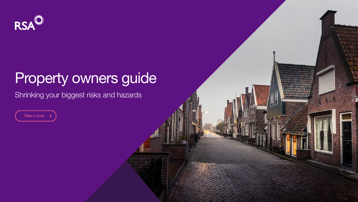

# Property owners guide

# Shrinking your biggest risks and hazards

Take a look

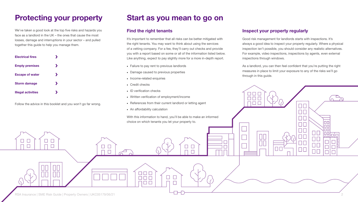We've taken a good look at the top five risks and hazards you face as a landlord in the UK – the ones that cause the most losses, damage and interruptions in your sector – and pulled together this guide to help you manage them.

### Find the right tenants

It's important to remember that all risks can be better mitigated with the right tenants. You may want to think about using the services of a vetting company. For a fee, they'll carry out checks and provide you with a report based on some or all of the information listed below. Like anything, expect to pay slightly more for a more in-depth report.

- Failure to pay rent to previous landlords
- Damage caused to previous properties
- Income-related enquiries
- Credit checks
- 
- 
- 
- 



### Inspect your property regularly

Good risk management for landlords starts with inspections. It's always a good idea to inspect your property regularly. Where a physical inspection isn't possible, you should consider any realistic alternatives. For example, video inspections, inspections by agents, even external inspections through windows.

As a landlord, you can then feel confident that you're putting the right measures in place to limit your exposure to any of the risks we'll go through in this guide.





RSA Insurance | SME Risk Guide | Property Owners | UKC05179/06/21 2

| <b>Electrical fires</b>   |  |  |
|---------------------------|--|--|
| <b>Empty premises</b>     |  |  |
| <b>Escape of water</b>    |  |  |
| <b>Storm damage</b>       |  |  |
| <b>Illegal activities</b> |  |  |

# Protecting your property Start as you mean to go on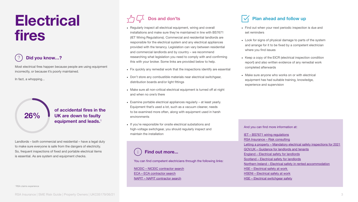# Electrical fires

# 26%

Most electrical fires happen because people are using equipment incorrectly, or because it's poorly maintained.

### of accidental fires in the UK are down to faulty equipment and leads.<sup>1</sup>

In fact, a whopping...

Landlords – both commercial and residential – have a legal duty to make sure everyone is safe from the dangers of electricity. So, frequent inspections of fixed and portable electrical items is essential. As are system and equipment checks.

• Regularly inspect all electrical equipment, wiring and overall installations and make sure they're maintained in line with BS7671 (IET Wiring Regulations). Commercial and residential landlords are responsible for the electrical system and any electrical appliances provided with the tenancy. Legislation can vary between residential and commercial landlords and by country – we recommend researching what legislation you need to comply with and confirming this with your broker. Some links are provided below to help.

• Fix quickly any remedial work that the inspections identify are essential

IET - BS7671 wiring regulations [RSA Insurance – Risk consulting](https://www.rsainsurance.co.uk/why-rsa/risk-consulting) [Letting a property – Mandatory electrical safety inspections for 2021](https://www.lettingaproperty.com/landlord/blog/mandatory-electrical-safety-inspections-april-2020/#electrical-laws-wales-scotland) [GOV.UK – Guidance for landlords and tenants](https://www.gov.uk/government/publications/covid-19-and-renting-guidance-for-landlords-tenants-and-local-authorities/coronavirus-covid-19-guidance-for-landlords-and-tenants) [England – Electrical safety for landlords](https://www.gov.uk/government/publications/electrical-safety-standards-in-the-private-rented-sector-guidance-for-landlords-tenants-and-local-authorities/guide-for-landlords-electrical-safety-standards-in-the-private-rented-sector) [Scotland – Electrical safety for landlords](https://www.electricalsafetyfirst.org.uk/guidance/advice-for-you/landlords/scottish-private-landlords/) [Northern Ireland – Electrical safety in rented accommodation](https://www.nidirect.gov.uk/articles/health-and-safety-rented-accommodation) [HSE – Electrical safety at work](https://www.hse.gov.uk/electricity/)  [HSENI – Electrical safety at work](https://www.hseni.gov.uk/topics/electrical-safety) [HSE – Electrical switchgear safety](https://www.hse.gov.uk/pubns/indg372.pdf)



- 
- 
- Don't store any combustible materials near electrical switchgear, distribution boards and/or light fittings
- Make sure all non-critical electrical equipment is turned off at night and when no one's there
- environments
- If you're responsible for onsite electrical substations and maintain the installation

• Examine portable electrical appliances regularly – at least yearly. Equipment that's used a lot, such as a vacuum cleaner, needs to be examined more often, along with equipment used in harsh

high-voltage switchgear, you should regularly inspect and

- 
- 
- 

## Dos and don'ts  $\sqrt{ }$  Plan ahead and follow up

And you can find more information at:

You can find competent electricians through the following links:

[NICEIC – NICEIC contractor search](https://www.niceic.com/contractor) [ECA – ECA contractor search](https://www.eca.co.uk/eca-member-search-results.aspx?officename=&loc=&lat=&lng=&radius=5&turnover=0-0&aow=7fb96f9c-ff1a-42f2-a06c-a6510107c123&acc=&CurrentPage=1&Rows=10) [NAPIT – NAPIT contractor search](https://search.napit.org.uk/)

<sup>1</sup> RSA claims experience

- Find out when your next periodic inspection is due and set reminders
- Look for signs of physical damage to parts of the system and arrange for it to be fixed by a competent electrician where you find issues
- Keep a copy of the EICR (electrical inspection condition report) and also written evidence of any remedial work completed afterwards
- Make sure anyone who works on or with electrical equipment has had suitable training, knowledge, experience and supervision



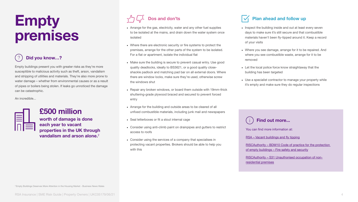# Empty premises



# £500 million

worth of damage is done each year to vacant properties in the UK through vandalism and arson alone.<sup>2</sup>



Empty buildings present you with greater risks as they're more susceptible to malicious activity such as theft, arson, vandalism and stripping of utilities and materials. They're also more prone to water damage – whether from environmental causes or as a result of pipes or boilers being stolen. If leaks go unnoticed the damage can be catastrophic.

An incredible...

• Arrange for the gas, electricity, water and any other fuel supplies to be isolated at the mains, and drain down the water system once

• Where there are electronic security or fire systems to protect the premises, arrange for the other parts of the system to be isolated.

> [RISCAuthority – BDM10 Code of practice for the protection](https://www.riscauthority.co.uk/public-resources/documents/resource/bdm10-code-of-practice-for-the-protection-of-empty-buildings-fire-safety-and-security-281)  of empty buildings - Fire safety and security

• Make sure the building is secure to prevent casual entry. Use good quality deadlocks, ideally to BS3621, or a good quality closeshackle padlock and matching pad bar on all external doors. Where there are window locks, make sure they're used, otherwise screw

- isolated
- For a flat or apartment, isolate the individual flat
- the windows shut
- entry
- 
- Seal letterboxes or fit a stout internal cage
- access to roofs
- with this

<sup>2</sup> [Empty Buildings Deserves More Attention in the Housing Market - Business News Wales](https://businessnewswales.com/empty-buildings-deserves-more-attention-in-the-housing-market/)

• Repair any broken windows, or board them outside with 19mm-thick shuttering-grade plywood braced and secured to prevent forced

• Arrange for the building and outside areas to be cleared of all unfixed combustible materials, including junk mail and newspapers

• Consider using anti-climb paint on drainpipes and gutters to restrict

• Consider using the services of a company that specialises in protecting vacant properties. Brokers should be able to help you

## Dos and don'ts  $\sqrt{ }$  Plan ahead and follow up

You can find more information at:

[RSA – Vacant buildings and fly tipping](https://www.rsainsurance.co.uk/media/1oidvhrt/rsa-real-estate-risk-control-bulletin-vacant-buildings-and-fly-tipping_1.pdf)

[RISCAuthority – S31 Unauthorised occupation of non](https://www.riscauthority.co.uk/public-resources/documents/resource/s31-unauthorised-occupation-of-non-residential-premises-334)[residential premises](https://www.riscauthority.co.uk/public-resources/documents/resource/s31-unauthorised-occupation-of-non-residential-premises-334)



- Inspect the building inside and out at least every seven days to make sure it's still secure and that combustible materials haven't been fly-tipped around it. Keep a record of your visits
- Where you see damage, arrange for it to be repaired. And where you see combustible waste, arrange for it to be removed
- Let the local police force know straightaway that the building has been targeted
- Use a specialist contractor to manage your property while it's empty and make sure they do regular inspections

## Did you know…?

### Find out more...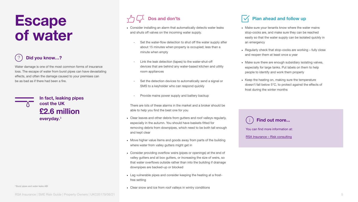# Escape of water



Water damage is one of the most common forms of insurance loss. The escape of water from burst pipes can have devastating effects, and often the damage caused to your premises can be as bad as if there had been a fire.



Set the water-flow detection to shut off the water supply after about 15 minutes when property is occupied; less than a

• Consider installing an alarm that automatically detects water leaks

Link the leak detection (tapes) to the water-shut-off devices that are behind any water-based kitchen and utility

Set the detection devices to automatically send a signal or SMS to a keyholder who can respond quickly

Provide mains power supply and battery backup

- and shuts off valves on the incoming water supply.
	- minute when empty
	- room appliances
	-
	-

There are lots of these alarms in the market and a broker should be able to help you find the best one for you

• Clear leaves and other debris from gutters and roof valleys regularly, especially in the autumn. You should have baskets fitted for removing debris from downpipes, which need to be both tall enough

• Move higher value items and goods away from parts of the building

• Consider providing overflow weirs (pipes or openings) at the end of valley gutters and at box gutters, or increasing the size of weirs, so that water overflows outside rather than into the building if drainage

- and kept clear
- where water from valley gutters might get in
- downpipes are backed-up or blocked
- free setting
- Clear snow and ice from roof valleys in wintry conditions

RSA Insurance | SME Risk Guide | Property Owners | UKC05179/06/21

• Lag vulnerable pipes and consider keeping the heating at a frost-

## Dos and don'ts  $\sqrt{ }$  Plan ahead and follow up

You can find more information at:

[RSA Insurance – Risk consulting](https://www.rsainsurance.co.uk/why-rsa/risk-consulting)



- Make sure your tenants know where the water mains stop-cocks are, and make sure they can be reached easily so that the water supply can be isolated quickly in an emergency
- Regularly check that stop-cocks are working fully close and reopen them at least once a year
- Make sure there are enough subsidiary isolating valves, especially for large tanks. Put labels on them to help people to identify and work them properly
- Keep the heating on, making sure the temperature doesn't fall below 5°C, to protect against the effects of frost during the winter months

## Did you know…?

### Find out more...

£2.6 million In fact, leaking pipes cost the UK everyday.<sup>3</sup>

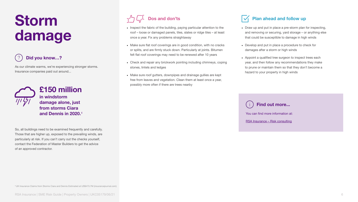# Storm damage



As our climate warms, we're experiencing stronger storms. Insurance companies paid out around...



So, all buildings need to be examined frequently and carefully. Those that are higher up, exposed to the prevailing winds, are particularly at risk. If you can't carry out the checks yourself, contact the Federation of Master Builders to get the advice of an approved contractor.

[4 UK Insurance Claims from Storms Ciara and Dennis Estimated at US\\$473.7M \(insurancejournal.com\)](https://www.insurancejournal.com/news/international/2020/03/09/560580.htm)

• Inspect the fabric of the building, paying particular attention to the roof – loose or damaged panels, tiles, slates or ridge tiles – at least

• Make sure flat roof coverings are in good condition, with no cracks or splits, and are firmly stuck down. Particularly at joints. Bitumen felt flat roof coverings may need to be renewed after 10 years

- once a year. Fix any problems straightaway
- 
- stones, lintels and ledges
- possibly more often if there are trees nearby

• Check and repair any brickwork pointing including chimneys, coping

• Make sure roof gutters, downpipes and drainage gullies are kept free from leaves and vegetation. Clean them at least once a year,

## Dos and don'ts  $\sqrt{ }$  Plan ahead and follow up

[RSA Insurance – Risk consulting](https://www.rsainsurance.co.uk/why-rsa/risk-consulting)



- Draw up and put in place a pre-storm plan for inspecting, and removing or securing, yard storage – or anything else that could be susceptible to damage in high winds
- Develop and put in place a procedure to check for damages after a storm or high winds
- Appoint a qualified tree surgeon to inspect trees each year, and then follow any recommendations they make to prune or maintain them so that they don't become a hazard to your property in high winds

You can find more information at: Find out more...

## Did you know…?

£150 million in windstorm damage alone, just from storms Ciara and Dennis in 2020.<sup>4</sup>